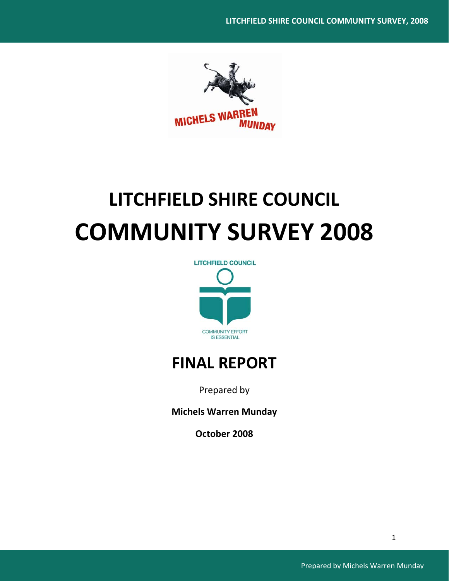

# **LITCHFIELD SHIRE COUNCIL COMMUNITY SURVEY 2008**



# **FINAL REPORT**

Prepared by

**Michels Warren Munday**

**October 2008**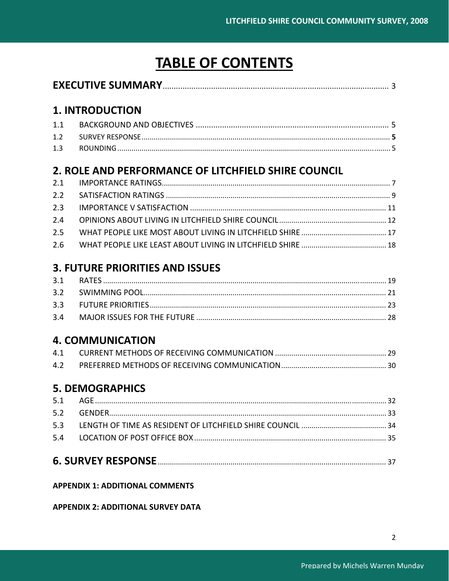# **TABLE OF CONTENTS**

# **1. INTRODUCTION**

| 1.1 |  |
|-----|--|
|     |  |
| 1.3 |  |

# 2. ROLE AND PERFORMANCE OF LITCHFIELD SHIRE COUNCIL

# **3. FUTURE PRIORITIES AND ISSUES**

# **4. COMMUNICATION**

# **5. DEMOGRAPHICS**

# **APPENDIX 1: ADDITIONAL COMMENTS**

**APPENDIX 2: ADDITIONAL SURVEY DATA**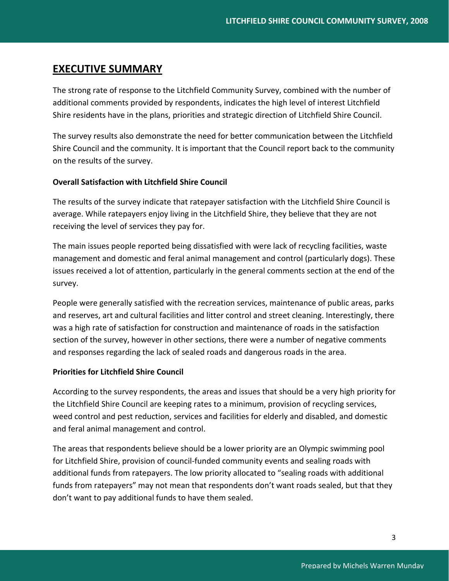# **EXECUTIVE SUMMARY**

The strong rate of response to the Litchfield Community Survey, combined with the number of additional comments provided by respondents, indicates the high level of interest Litchfield Shire residents have in the plans, priorities and strategic direction of Litchfield Shire Council.

The survey results also demonstrate the need for better communication between the Litchfield Shire Council and the community. It is important that the Council report back to the community on the results of the survey.

# **Overall Satisfaction with Litchfield Shire Council**

The results of the survey indicate that ratepayer satisfaction with the Litchfield Shire Council is average. While ratepayers enjoy living in the Litchfield Shire, they believe that they are not receiving the level of services they pay for.

The main issues people reported being dissatisfied with were lack of recycling facilities, waste management and domestic and feral animal management and control (particularly dogs). These issues received a lot of attention, particularly in the general comments section at the end of the survey.

People were generally satisfied with the recreation services, maintenance of public areas, parks and reserves, art and cultural facilities and litter control and street cleaning. Interestingly, there was a high rate of satisfaction for construction and maintenance of roads in the satisfaction section of the survey, however in other sections, there were a number of negative comments and responses regarding the lack of sealed roads and dangerous roads in the area.

# **Priorities for Litchfield Shire Council**

According to the survey respondents, the areas and issues that should be a very high priority for the Litchfield Shire Council are keeping rates to a minimum, provision of recycling services, weed control and pest reduction, services and facilities for elderly and disabled, and domestic and feral animal management and control.

The areas that respondents believe should be a lower priority are an Olympic swimming pool for Litchfield Shire, provision of council‐funded community events and sealing roads with additional funds from ratepayers. The low priority allocated to "sealing roads with additional funds from ratepayers" may not mean that respondents don't want roads sealed, but that they don't want to pay additional funds to have them sealed.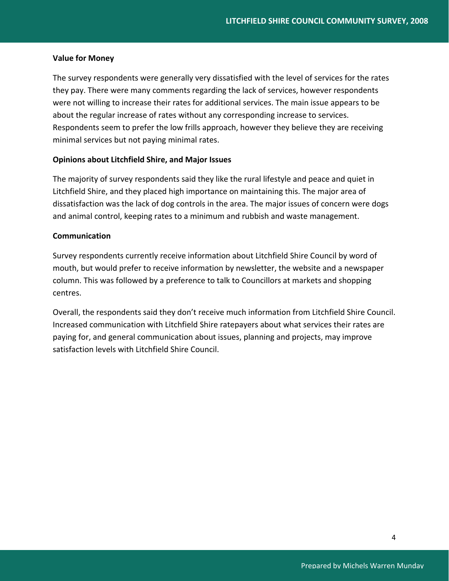# **Value for Money**

The survey respondents were generally very dissatisfied with the level of services for the rates they pay. There were many comments regarding the lack of services, however respondents were not willing to increase their rates for additional services. The main issue appears to be about the regular increase of rates without any corresponding increase to services. Respondents seem to prefer the low frills approach, however they believe they are receiving minimal services but not paying minimal rates.

# **Opinions about Litchfield Shire, and Major Issues**

The majority of survey respondents said they like the rural lifestyle and peace and quiet in Litchfield Shire, and they placed high importance on maintaining this. The major area of dissatisfaction was the lack of dog controls in the area. The major issues of concern were dogs and animal control, keeping rates to a minimum and rubbish and waste management.

# **Communication**

Survey respondents currently receive information about Litchfield Shire Council by word of mouth, but would prefer to receive information by newsletter, the website and a newspaper column. This was followed by a preference to talk to Councillors at markets and shopping centres.

Overall, the respondents said they don't receive much information from Litchfield Shire Council. Increased communication with Litchfield Shire ratepayers about what services their rates are paying for, and general communication about issues, planning and projects, may improve satisfaction levels with Litchfield Shire Council.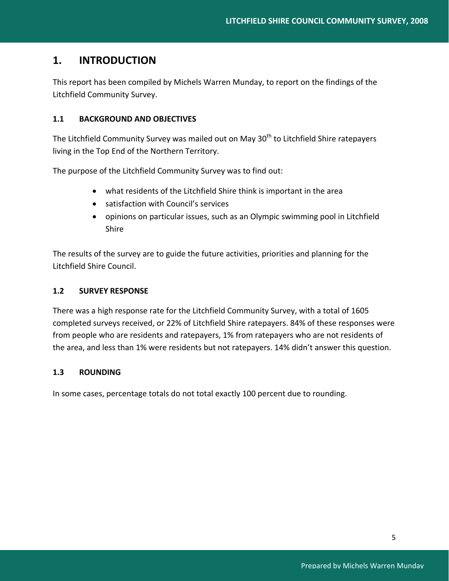# **1. INTRODUCTION**

This report has been compiled by Michels Warren Munday, to report on the findings of the Litchfield Community Survey.

# **1.1 BACKGROUND AND OBJECTIVES**

The Litchfield Community Survey was mailed out on May 30<sup>th</sup> to Litchfield Shire ratepayers living in the Top End of the Northern Territory.

The purpose of the Litchfield Community Survey was to find out:

- what residents of the Litchfield Shire think is important in the area
- satisfaction with Council's services
- opinions on particular issues, such as an Olympic swimming pool in Litchfield Shire

The results of the survey are to guide the future activities, priorities and planning for the Litchfield Shire Council.

# **1.2 SURVEY RESPONSE**

There was a high response rate for the Litchfield Community Survey, with a total of 1605 completed surveys received, or 22% of Litchfield Shire ratepayers. 84% of these responses were from people who are residents and ratepayers, 1% from ratepayers who are not residents of the area, and less than 1% were residents but not ratepayers. 14% didn't answer this question.

# **1.3 ROUNDING**

In some cases, percentage totals do not total exactly 100 percent due to rounding.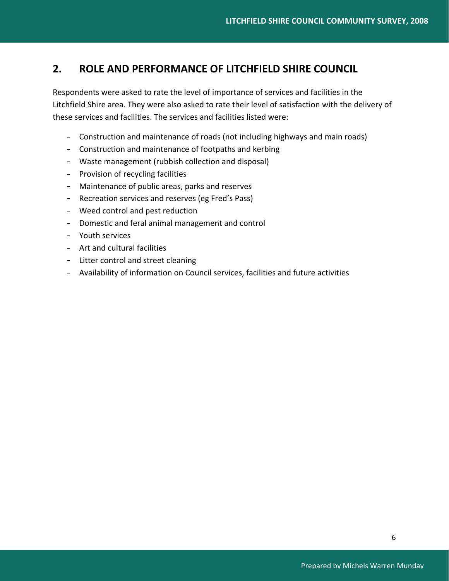# **2. ROLE AND PERFORMANCE OF LITCHFIELD SHIRE COUNCIL**

Respondents were asked to rate the level of importance of services and facilities in the Litchfield Shire area. They were also asked to rate their level of satisfaction with the delivery of these services and facilities. The services and facilities listed were:

- Construction and maintenance of roads (not including highways and main roads)
- Construction and maintenance of footpaths and kerbing
- Waste management (rubbish collection and disposal)
- Provision of recycling facilities
- Maintenance of public areas, parks and reserves
- Recreation services and reserves (eg Fred's Pass)
- Weed control and pest reduction
- Domestic and feral animal management and control
- Youth services
- Art and cultural facilities
- Litter control and street cleaning
- Availability of information on Council services, facilities and future activities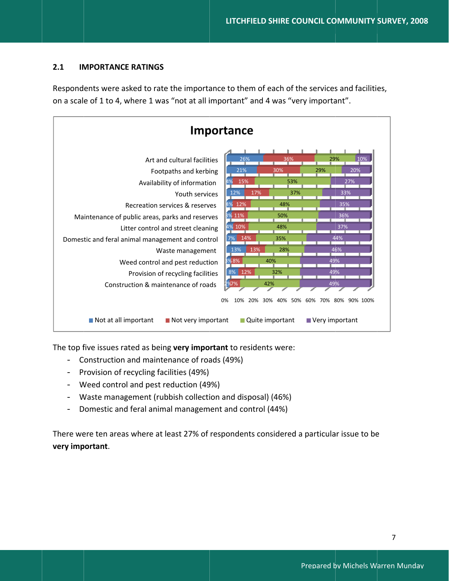#### $2.1$ **IMPORTANCE RATINGS**

Respondents were asked to rate the importance to them of each of the services and facilities, on a scale of 1 to 4, where 1 was "not at all important" and 4 was "very important".



The top five issues rated as being very important to residents were:

- Construction and maintenance of roads (49%)
- Provision of recycling facilities (49%)
- Weed control and pest reduction (49%)
- Waste management (rubbish collection and disposal) (46%)
- Domestic and feral animal management and control (44%)  $\equiv$   $\equiv$

There were ten areas where at least 27% of respondents considered a particular issue to be very important.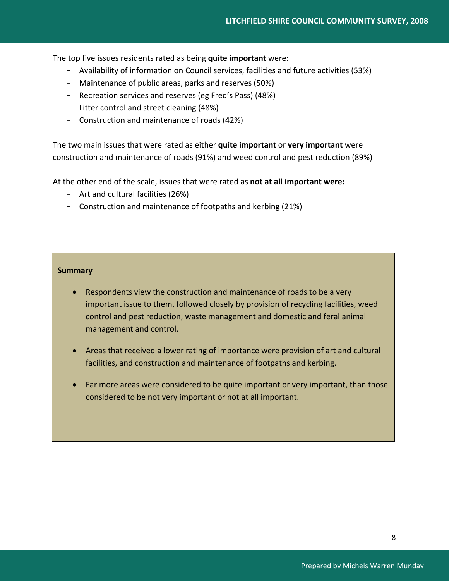The top five issues residents rated as being **quite important** were:

- Availability of information on Council services, facilities and future activities (53%)
- Maintenance of public areas, parks and reserves (50%)
- Recreation services and reserves (eg Fred's Pass) (48%)
- Litter control and street cleaning (48%)
- Construction and maintenance of roads (42%)

The two main issues that were rated as either **quite important** or **very important** were construction and maintenance of roads (91%) and weed control and pest reduction (89%)

At the other end of the scale, issues that were rated as **not at all important were:**

- Art and cultural facilities (26%)
- Construction and maintenance of footpaths and kerbing (21%)

# **Summary**

- Respondents view the construction and maintenance of roads to be a very important issue to them, followed closely by provision of recycling facilities, weed control and pest reduction, waste management and domestic and feral animal management and control.
- Areas that received a lower rating of importance were provision of art and cultural facilities, and construction and maintenance of footpaths and kerbing.
- Far more areas were considered to be quite important or very important, than those considered to be not very important or not at all important.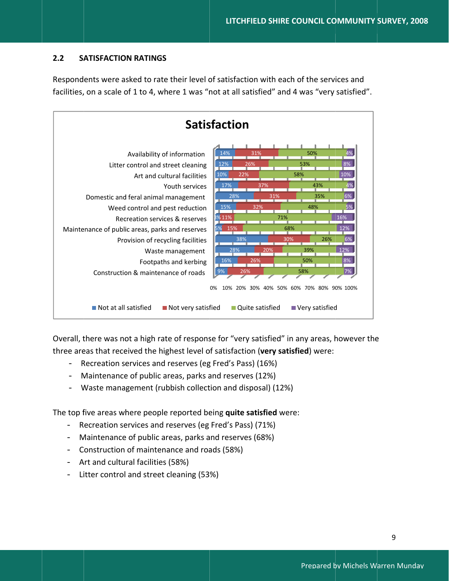#### $2.2$ **SATISFACTION RATINGS**

Respondents were asked to rate their level of satisfaction with each of the services and facilities, on a scale of 1 to 4, where 1 was "not at all satisfied" and 4 was "very satisfied".



Overall, there was not a high rate of response for "very satisfied" in any areas, however the three areas that received the highest level of satisfaction (very satisfied) were:

- $\equiv$ Recreation services and reserves (eg Fred's Pass) (16%)
- Maintenance of public areas, parks and reserves (12%)
- Waste management (rubbish collection and disposal) (12%)

The top five areas where people reported being quite satisfied were:

- Recreation services and reserves (eg Fred's Pass) (71%)
- Maintenance of public areas, parks and reserves (68%)  $\frac{1}{2}$
- Construction of maintenance and roads (58%)
- Art and cultural facilities (58%)
- Litter control and street cleaning (53%)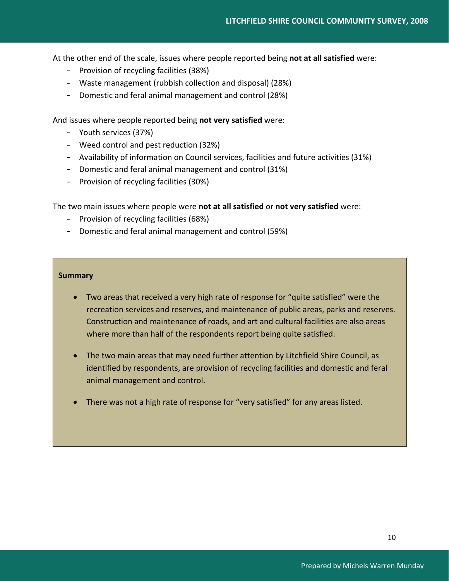At the other end of the scale, issues where people reported being **not at all satisfied** were:

- Provision of recycling facilities (38%)
- Waste management (rubbish collection and disposal) (28%)
- Domestic and feral animal management and control (28%)

And issues where people reported being **not very satisfied** were:

- Youth services (37%)
- Weed control and pest reduction (32%)
- Availability of information on Council services, facilities and future activities (31%)
- Domestic and feral animal management and control (31%)
- Provision of recycling facilities (30%)

The two main issues where people were **not at all satisfied** or **not very satisfied** were:

- Provision of recycling facilities (68%)
- Domestic and feral animal management and control (59%)

# **Summary**

- Two areas that received a very high rate of response for "quite satisfied" were the recreation services and reserves, and maintenance of public areas, parks and reserves. Construction and maintenance of roads, and art and cultural facilities are also areas where more than half of the respondents report being quite satisfied.
- The two main areas that may need further attention by Litchfield Shire Council, as identified by respondents, are provision of recycling facilities and domestic and feral animal management and control.
- There was not a high rate of response for "very satisfied" for any areas listed.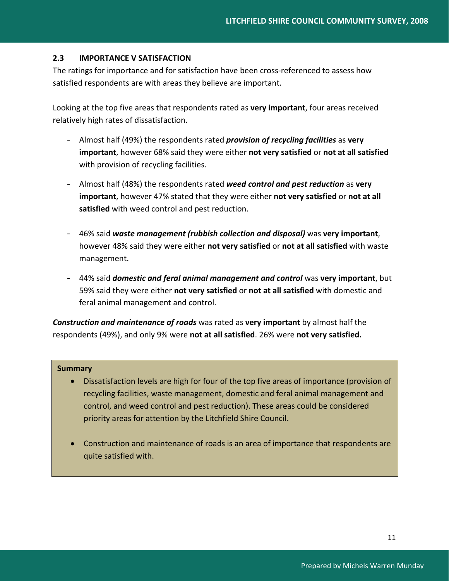# **2.3 IMPORTANCE V SATISFACTION**

The ratings for importance and for satisfaction have been cross-referenced to assess how satisfied respondents are with areas they believe are important.

Looking at the top five areas that respondents rated as **very important**, four areas received relatively high rates of dissatisfaction.

- Almost half (49%) the respondents rated *provision of recycling facilities* as **very important**, however 68% said they were either **not very satisfied** or **not at all satisfied** with provision of recycling facilities.
- Almost half (48%) the respondents rated *weed control and pest reduction* as **very important**, however 47% stated that they were either **not very satisfied** or **not at all satisfied** with weed control and pest reduction.
- 46% said *waste management (rubbish collection and disposal)* was **very important**, however 48% said they were either **not very satisfied** or **not at all satisfied** with waste management.
- 44% said *domestic and feral animal management and control* was **very important**, but 59% said they were either **not very satisfied** or **not at all satisfied** with domestic and feral animal management and control.

*Construction and maintenance of roads* was rated as **very important** by almost half the respondents (49%), and only 9% were **not at all satisfied**. 26% were **not very satisfied.**

# **Summary**

- Dissatisfaction levels are high for four of the top five areas of importance (provision of recycling facilities, waste management, domestic and feral animal management and control, and weed control and pest reduction). These areas could be considered priority areas for attention by the Litchfield Shire Council.
- Construction and maintenance of roads is an area of importance that respondents are quite satisfied with.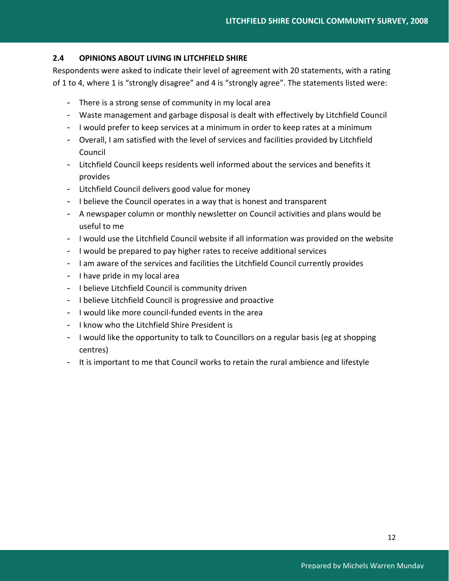# **2.4 OPINIONS ABOUT LIVING IN LITCHFIELD SHIRE**

Respondents were asked to indicate their level of agreement with 20 statements, with a rating of 1 to 4, where 1 is "strongly disagree" and 4 is "strongly agree". The statements listed were:

- There is a strong sense of community in my local area
- Waste management and garbage disposal is dealt with effectively by Litchfield Council
- I would prefer to keep services at a minimum in order to keep rates at a minimum
- Overall, I am satisfied with the level of services and facilities provided by Litchfield Council
- Litchfield Council keeps residents well informed about the services and benefits it provides
- Litchfield Council delivers good value for money
- I believe the Council operates in a way that is honest and transparent
- A newspaper column or monthly newsletter on Council activities and plans would be useful to me
- I would use the Litchfield Council website if all information was provided on the website
- I would be prepared to pay higher rates to receive additional services
- I am aware of the services and facilities the Litchfield Council currently provides
- I have pride in my local area
- I believe Litchfield Council is community driven
- I believe Litchfield Council is progressive and proactive
- I would like more council‐funded events in the area
- I know who the Litchfield Shire President is
- I would like the opportunity to talk to Councillors on a regular basis (eg at shopping centres)
- It is important to me that Council works to retain the rural ambience and lifestyle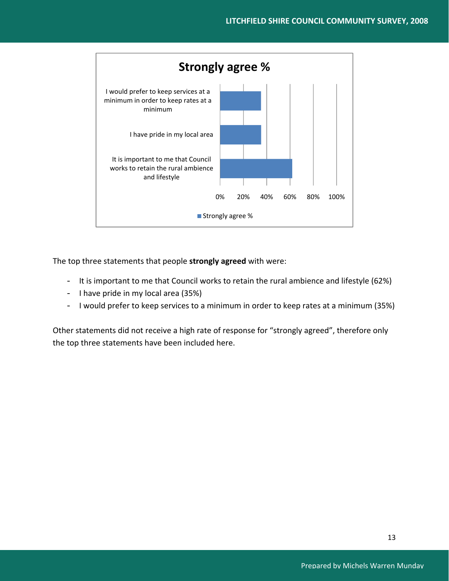

The top three statements that people **strongly agreed** with were:

- It is important to me that Council works to retain the rural ambience and lifestyle (62%)
- I have pride in my local area (35%)
- I would prefer to keep services to a minimum in order to keep rates at a minimum (35%)

Other statements did not receive a high rate of response for "strongly agreed", therefore only the top three statements have been included here.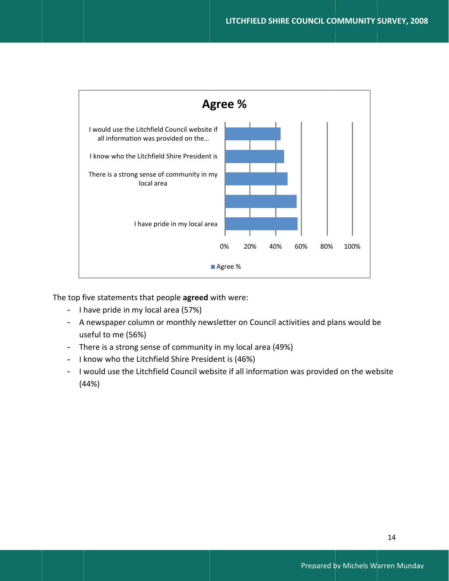

The top five statements that people agreed with were:

- I have pride in my local area (57%)
- A newspaper column or monthly newsletter on Council activities and plans would be useful to me (56%)
- There is a strong sense of community in my local area (49%)
- I know who the Litchfield Shire President is (46%)
- I would use the Litchfield Council website if all information was provided on the website  $(44%)$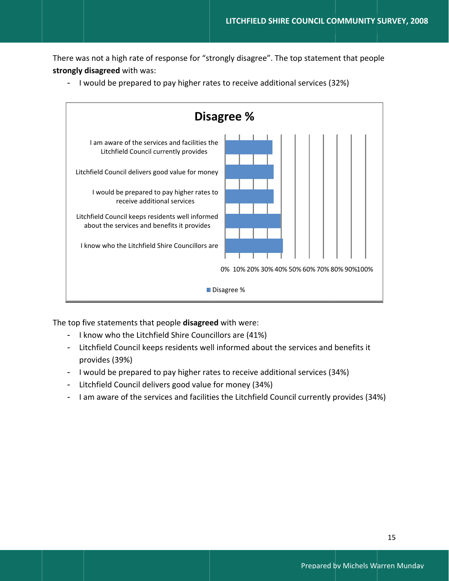There was not a high rate of response for "strongly disagree". The top statement that people strongly disagreed with was:



- I would be prepared to pay higher rates to receive additional services (32%)

The top five statements that people disagreed with were:

- I know who the Litchfield Shire Councillors are (41%)
- Litchfield Council keeps residents well informed about the services and benefits it provides (39%)
- I would be prepared to pay higher rates to receive additional services (34%)
- Litchfield Council delivers good value for money (34%)
- I am aware of the services and facilities the Litchfield Council currently provides (34%)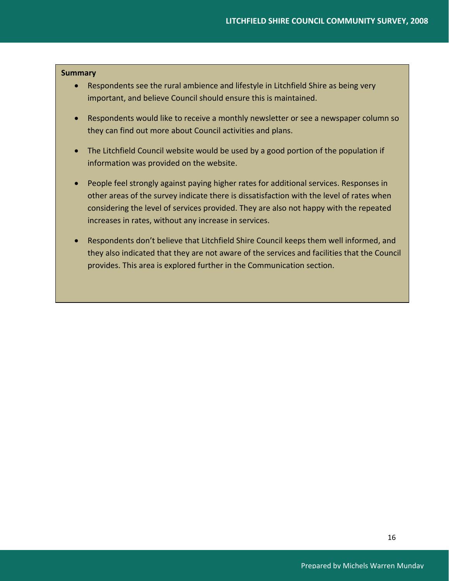# **Summary**

- Respondents see the rural ambience and lifestyle in Litchfield Shire as being very important, and believe Council should ensure this is maintained.
- Respondents would like to receive a monthly newsletter or see a newspaper column so they can find out more about Council activities and plans.
- The Litchfield Council website would be used by a good portion of the population if information was provided on the website.
- People feel strongly against paying higher rates for additional services. Responses in other areas of the survey indicate there is dissatisfaction with the level of rates when considering the level of services provided. They are also not happy with the repeated increases in rates, without any increase in services.
- Respondents don't believe that Litchfield Shire Council keeps them well informed, and they also indicated that they are not aware of the services and facilities that the Council provides. This area is explored further in the Communication section.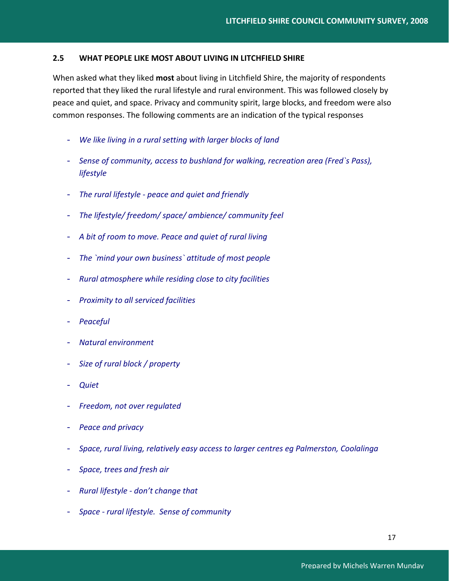# **2.5 WHAT PEOPLE LIKE MOST ABOUT LIVING IN LITCHFIELD SHIRE**

When asked what they liked **most** about living in Litchfield Shire, the majority of respondents reported that they liked the rural lifestyle and rural environment. This was followed closely by peace and quiet, and space. Privacy and community spirit, large blocks, and freedom were also common responses. The following comments are an indication of the typical responses

- *We like living in a rural setting with larger blocks of land*
- *Sense of community, access to bushland for walking, recreation area (Fred`s Pass), lifestyle*
- *The rural lifestyle ‐ peace and quiet and friendly*
- *The lifestyle/ freedom/ space/ ambience/ community feel*
- *A bit of room to move. Peace and quiet of rural living*
- *The `mind your own business` attitude of most people*
- *Rural atmosphere while residing close to city facilities*
- *Proximity to all serviced facilities*
- *Peaceful*
- *Natural environment*
- *Size of rural block / property*
- *Quiet*
- *Freedom, not over regulated*
- *Peace and privacy*
- *Space, rural living, relatively easy access to larger centres eg Palmerston, Coolalinga*
- *Space, trees and fresh air*
- *Rural lifestyle ‐ don't change that*
- *Space ‐ rural lifestyle. Sense of community*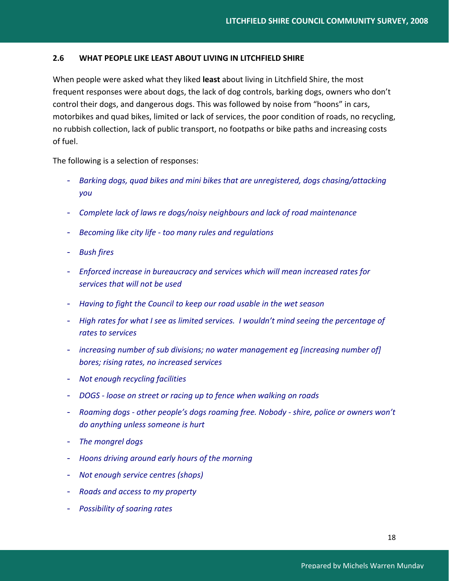# **2.6 WHAT PEOPLE LIKE LEAST ABOUT LIVING IN LITCHFIELD SHIRE**

When people were asked what they liked **least** about living in Litchfield Shire, the most frequent responses were about dogs, the lack of dog controls, barking dogs, owners who don't control their dogs, and dangerous dogs. This was followed by noise from "hoons" in cars, motorbikes and quad bikes, limited or lack of services, the poor condition of roads, no recycling, no rubbish collection, lack of public transport, no footpaths or bike paths and increasing costs of fuel.

The following is a selection of responses:

- *Barking dogs, quad bikes and mini bikes that are unregistered, dogs chasing/attacking you*
- *Complete lack of laws re dogs/noisy neighbours and lack of road maintenance*
- *Becoming like city life ‐ too many rules and regulations*
- *Bush fires*
- *Enforced increase in bureaucracy and services which will mean increased rates for services that will not be used*
- *Having to fight the Council to keep our road usable in the wet season*
- *High rates for what I see as limited services. I wouldn't mind seeing the percentage of rates to services*
- *increasing number of sub divisions; no water management eg [increasing number of] bores; rising rates, no increased services*
- *Not enough recycling facilities*
- *DOGS ‐ loose on street or racing up to fence when walking on roads*
- *Roaming dogs ‐ other people's dogs roaming free. Nobody ‐ shire, police or owners won't do anything unless someone is hurt*
- *The mongrel dogs*
- *Hoons driving around early hours of the morning*
- *Not enough service centres (shops)*
- *Roads and access to my property*
- *Possibility of soaring rates*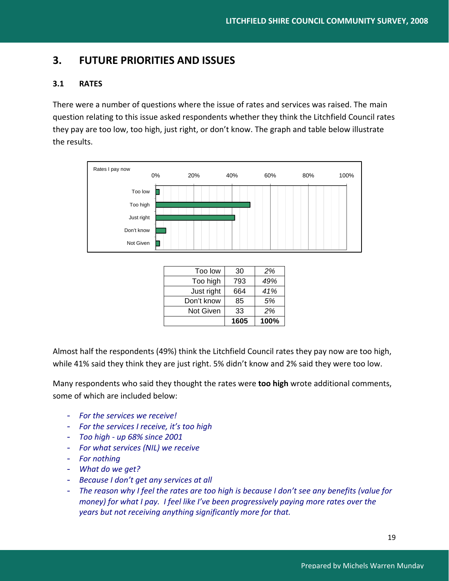# **3. FUTURE PRIORITIES AND ISSUES**

# **3.1 RATES**

There were a number of questions where the issue of rates and services was raised. The main question relating to this issue asked respondents whether they think the Litchfield Council rates they pay are too low, too high, just right, or don't know. The graph and table below illustrate the results.



|                  | 1605 | 100% |
|------------------|------|------|
| <b>Not Given</b> | 33   | 2%   |
| Don't know       | 85   | 5%   |
| Just right       | 664  | 41%  |
| Too high         | 793  | 49%  |
| Too low          | 30   | 2%   |

Almost half the respondents (49%) think the Litchfield Council rates they pay now are too high, while 41% said they think they are just right. 5% didn't know and 2% said they were too low.

Many respondents who said they thought the rates were **too high** wrote additional comments, some of which are included below:

- *For the services we receive!*
- *For the services I receive, it's too high*
- *Too high ‐ up 68% since 2001*
- *For what services (NIL) we receive*
- *For nothing*
- *What do we get?*
- *Because I don't get any services at all*
- The reason why I feel the rates are too high is because I don't see any benefits (value for *money) for what I pay. I feel like I've been progressively paying more rates over the years but not receiving anything significantly more for that.*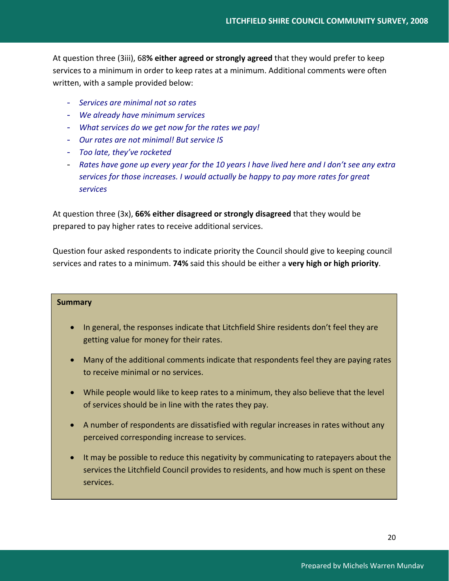At question three (3iii), 68**% either agreed or strongly agreed** that they would prefer to keep services to a minimum in order to keep rates at a minimum. Additional comments were often written, with a sample provided below:

- *Services are minimal not so rates*
- *We already have minimum services*
- *What services do we get now for the rates we pay!*
- *Our rates are not minimal! But service IS*
- *Too late, they've rocketed*
- Rates have gone up every year for the 10 years I have lived here and I don't see any extra *services for those increases. I would actually be happy to pay more rates for great services*

At question three (3x), **66% either disagreed or strongly disagreed** that they would be prepared to pay higher rates to receive additional services.

Question four asked respondents to indicate priority the Council should give to keeping council services and rates to a minimum. **74%** said this should be either a **very high or high priority**.

# **Summary**

- In general, the responses indicate that Litchfield Shire residents don't feel they are getting value for money for their rates.
- Many of the additional comments indicate that respondents feel they are paying rates to receive minimal or no services.
- While people would like to keep rates to a minimum, they also believe that the level of services should be in line with the rates they pay.
- A number of respondents are dissatisfied with regular increases in rates without any perceived corresponding increase to services.
- It may be possible to reduce this negativity by communicating to ratepayers about the services the Litchfield Council provides to residents, and how much is spent on these services.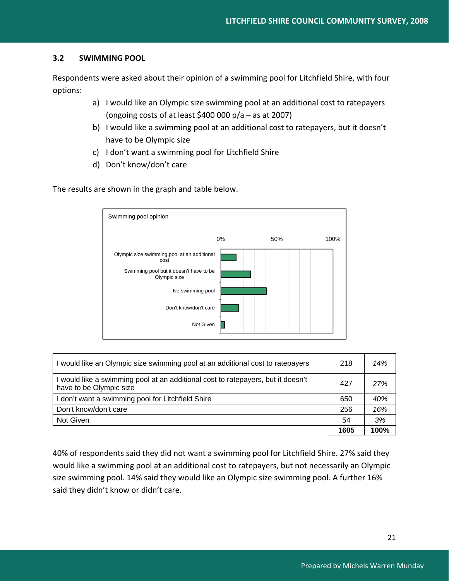# **3.2 SWIMMING POOL**

Respondents were asked about their opinion of a swimming pool for Litchfield Shire, with four options:

- a) I would like an Olympic size swimming pool at an additional cost to ratepayers (ongoing costs of at least  $$400 000 p/a - as at 2007$ )
- b) I would like a swimming pool at an additional cost to ratepayers, but it doesn't have to be Olympic size
- c) I don't want a swimming pool for Litchfield Shire
- d) Don't know/don't care

The results are shown in the graph and table below.



| I would like an Olympic size swimming pool at an additional cost to ratepayers                              | 218  | 14%  |
|-------------------------------------------------------------------------------------------------------------|------|------|
| I would like a swimming pool at an additional cost to ratepayers, but it doesn't<br>have to be Olympic size | 427  | 27%  |
| I don't want a swimming pool for Litchfield Shire                                                           | 650  | 40%  |
| Don't know/don't care                                                                                       | 256  | 16%  |
| Not Given                                                                                                   | 54   | 3%   |
|                                                                                                             | 1605 | 100% |

40% of respondents said they did not want a swimming pool for Litchfield Shire. 27% said they would like a swimming pool at an additional cost to ratepayers, but not necessarily an Olympic size swimming pool. 14% said they would like an Olympic size swimming pool. A further 16% said they didn't know or didn't care.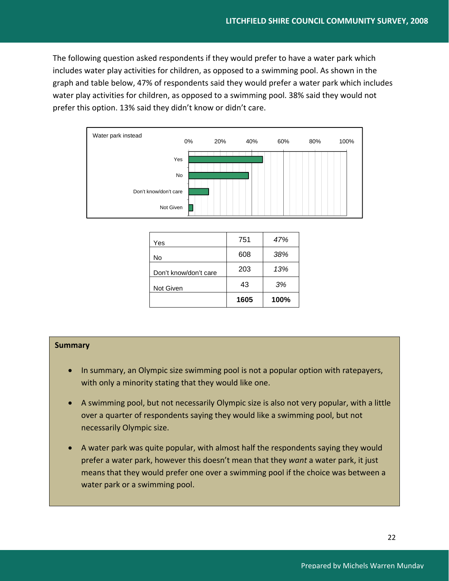The following question asked respondents if they would prefer to have a water park which includes water play activities for children, as opposed to a swimming pool. As shown in the graph and table below, 47% of respondents said they would prefer a water park which includes water play activities for children, as opposed to a swimming pool. 38% said they would not prefer this option. 13% said they didn't know or didn't care.



| Yes                   | 751  | 47%  |
|-----------------------|------|------|
| No                    | 608  | 38%  |
| Don't know/don't care | 203  | 13%  |
| Not Given             | 43   | 3%   |
|                       | 1605 | 100% |

## **Summary**

- In summary, an Olympic size swimming pool is not a popular option with ratepayers, with only a minority stating that they would like one.
- A swimming pool, but not necessarily Olympic size is also not very popular, with a little over a quarter of respondents saying they would like a swimming pool, but not necessarily Olympic size.
- A water park was quite popular, with almost half the respondents saying they would prefer a water park, however this doesn't mean that they *want* a water park, it just means that they would prefer one over a swimming pool if the choice was between a water park or a swimming pool.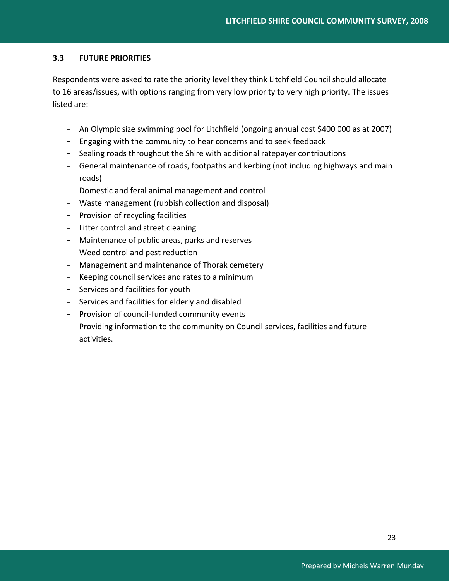# **3.3 FUTURE PRIORITIES**

Respondents were asked to rate the priority level they think Litchfield Council should allocate to 16 areas/issues, with options ranging from very low priority to very high priority. The issues listed are:

- An Olympic size swimming pool for Litchfield (ongoing annual cost \$400 000 as at 2007)
- Engaging with the community to hear concerns and to seek feedback
- Sealing roads throughout the Shire with additional ratepayer contributions
- General maintenance of roads, footpaths and kerbing (not including highways and main roads)
- Domestic and feral animal management and control
- Waste management (rubbish collection and disposal)
- Provision of recycling facilities
- Litter control and street cleaning
- Maintenance of public areas, parks and reserves
- Weed control and pest reduction
- Management and maintenance of Thorak cemetery
- Keeping council services and rates to a minimum
- Services and facilities for youth
- Services and facilities for elderly and disabled
- Provision of council-funded community events
- Providing information to the community on Council services, facilities and future activities.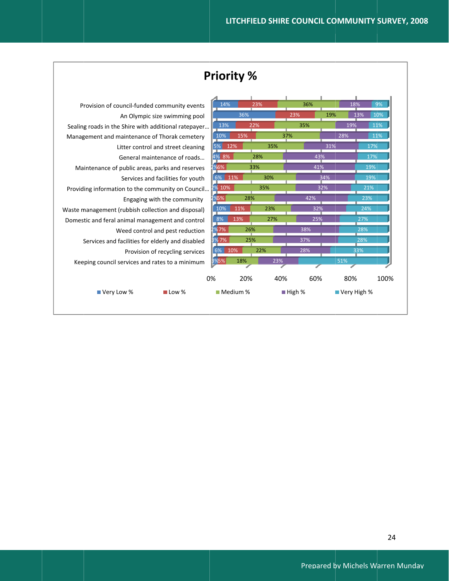|                                                      | <b>Priority %</b> |          |     |                       |     |               |      |
|------------------------------------------------------|-------------------|----------|-----|-----------------------|-----|---------------|------|
|                                                      |                   |          |     |                       |     |               |      |
| Provision of council-funded community events         | 14%               |          | 23% | 36%                   |     | 18%           | 9%   |
| An Olympic size swimming pool                        |                   | 36%      |     | 23%                   | 19% | 13%           | 10%  |
| Sealing roads in the Shire with additional ratepayer | 13%               |          | 22% | 35%                   |     | 19%           | 11%  |
| Management and maintenance of Thorak cemetery        | 10%               | 15%      |     | 37%                   | 28% |               | 11%  |
| Litter control and street cleaning                   | 5%                | 12%      | 35% |                       | 31% | 17%           |      |
| General maintenance of roads                         | 4% 8%             |          | 28% | 43%                   |     | 17%           |      |
| Maintenance of public areas, parks and reserves      | 2 <u>%6%  </u>    |          | 33% | 41%                   |     | 19%           |      |
| Services and facilities for youth                    | 6% 11%            |          | 30% |                       | 34% | 19%           |      |
| Providing information to the community on Council    | 2% 10%            |          | 35% |                       | 32% | 21%           |      |
| Engaging with the community                          | 2%5%              | 28%      |     | 42%                   |     | 23%           |      |
| Waste management (rubbish collection and disposal)   | 10%               | 11%      | 23% | 32%                   |     | 24%           |      |
| Domestic and feral animal management and control     | 8%                | 13%      | 27% | 25%                   |     | 27%           |      |
| Weed control and pest reduction                      | 2%7%              | 26%      |     | 38%                   |     | 28%           |      |
| Services and facilities for elderly and disabled     | 3%7%              | 25%      |     | 37%                   |     | 28%           |      |
| Provision of recycling services                      | 6% 10%            |          | 22% | 28%                   |     | 33%           |      |
| Keeping council services and rates to a minimum      | 3%5%              | 18%      | 23% |                       | 51% |               |      |
|                                                      | 0%                | 20%      | 40% | 60%                   |     | 80%           | 100% |
| ■ Very Low %<br>$\blacksquare$ Low %                 |                   | Medium % |     | $\blacksquare$ High % |     | ■ Very High % |      |
|                                                      |                   |          |     |                       |     |               |      |

Г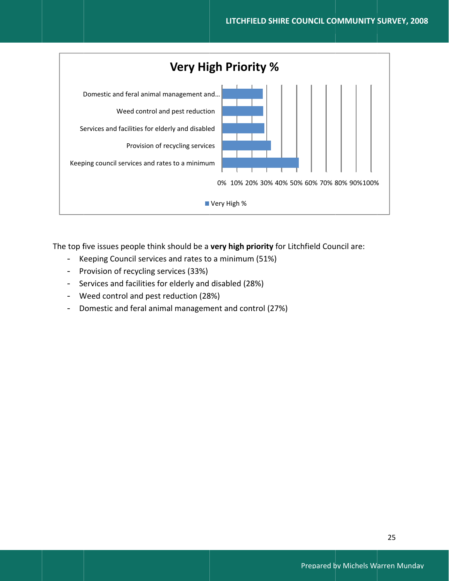

The top five issues people think should be a very high priority for Litchfield Council are:

- Keeping Council services and rates to a minimum (51%)
- Provision of recycling services (33%)
- Services and facilities for elderly and disabled (28%)
- Weed control and pest reduction (28%)
- Domestic and feral animal management and control (27%)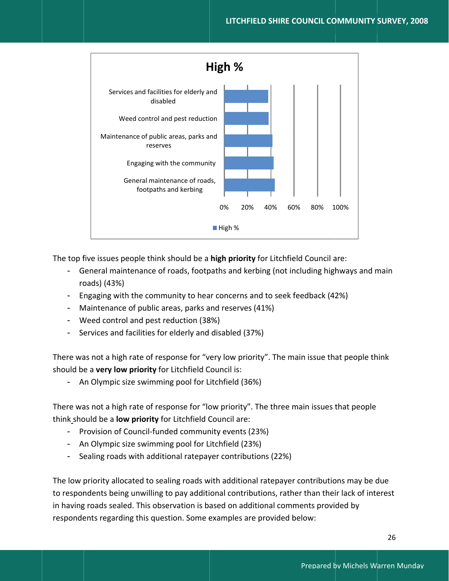

The top five issues people think should be a high priority for Litchfield Council are:

- General maintenance of roads, footpaths and kerbing (not including highways and main roads) (43%)
- Engaging with the community to hear concerns and to seek feedback (42%)
- Maintenance of public areas, parks and reserves (41%)
- Weed control and pest reduction (38%)
- Services and facilities for elderly and disabled (37%)

There was not a high rate of response for "very low priority". The main issue that people think should be a very low priority for Litchfield Council is:

- An Olympic size swimming pool for Litchfield (36%)

There was not a high rate of response for "low priority". The three main issues that people think should be a low priority for Litchfield Council are:

- Provision of Council-funded community events (23%)
- An Olympic size swimming pool for Litchfield (23%)
- Sealing roads with additional ratepayer contributions (22%)

The low priority allocated to sealing roads with additional ratepayer contributions may be due to respondents being unwilling to pay additional contributions, rather than their lack of interest in having roads sealed. This observation is based on additional comments provided by respondents regarding this question. Some examples are provided below: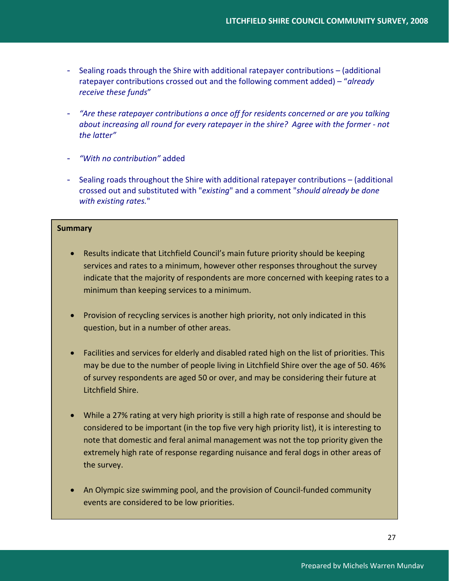- Sealing roads through the Shire with additional ratepayer contributions (additional ratepayer contributions crossed out and the following comment added) – "*already receive these funds*"
- *"Are these ratepayer contributions a once off for residents concerned or are you talking about increasing all round for every ratepayer in the shire? Agree with the former ‐ not the latter"*
- *"With no contribution"* added
- Sealing roads throughout the Shire with additional ratepayer contributions (additional crossed out and substituted with "*existing*" and a comment "*should already be done with existing rates.*"

# **Summary**

- Results indicate that Litchfield Council's main future priority should be keeping services and rates to a minimum, however other responses throughout the survey indicate that the majority of respondents are more concerned with keeping rates to a minimum than keeping services to a minimum.
- Provision of recycling services is another high priority, not only indicated in this question, but in a number of other areas.
- Facilities and services for elderly and disabled rated high on the list of priorities. This may be due to the number of people living in Litchfield Shire over the age of 50. 46% of survey respondents are aged 50 or over, and may be considering their future at Litchfield Shire.
- While a 27% rating at very high priority is still a high rate of response and should be considered to be important (in the top five very high priority list), it is interesting to note that domestic and feral animal management was not the top priority given the extremely high rate of response regarding nuisance and feral dogs in other areas of the survey.
- An Olympic size swimming pool, and the provision of Council-funded community events are considered to be low priorities.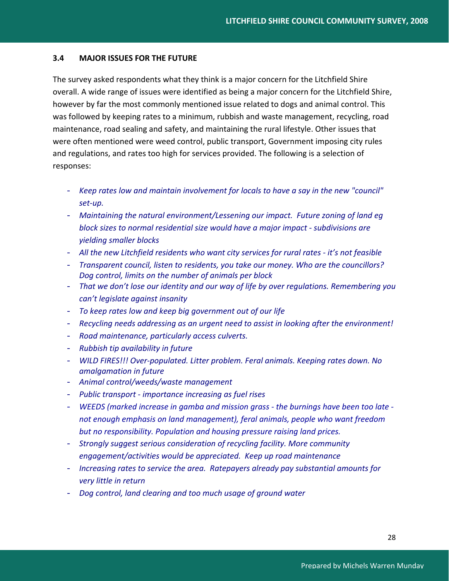# **3.4 MAJOR ISSUES FOR THE FUTURE**

The survey asked respondents what they think is a major concern for the Litchfield Shire overall. A wide range of issues were identified as being a major concern for the Litchfield Shire, however by far the most commonly mentioned issue related to dogs and animal control. This was followed by keeping rates to a minimum, rubbish and waste management, recycling, road maintenance, road sealing and safety, and maintaining the rural lifestyle. Other issues that were often mentioned were weed control, public transport, Government imposing city rules and regulations, and rates too high for services provided. The following is a selection of responses:

- *Keep rates low and maintain involvement for locals to have a say in the new "council" set‐up.*
- *Maintaining the natural environment/Lessening our impact. Future zoning of land eg block sizes to normal residential size would have a major impact ‐ subdivisions are yielding smaller blocks*
- *All the new Litchfield residents who want city services for rural rates ‐ it's not feasible*
- *Transparent council, listen to residents, you take our money. Who are the councillors? Dog control, limits on the number of animals per block*
- *That we don't lose our identity and our way of life by over regulations. Remembering you can't legislate against insanity*
- *To keep rates low and keep big government out of our life*
- *Recycling needs addressing as an urgent need to assist in looking after the environment!*
- *Road maintenance, particularly access culverts.*
- *Rubbish tip availability in future*
- *WILD FIRES!!! Over‐populated. Litter problem. Feral animals. Keeping rates down. No amalgamation in future*
- *Animal control/weeds/waste management*
- *Public transport ‐ importance increasing as fuel rises*
- *WEEDS (marked increase in gamba and mission grass ‐ the burnings have been too late ‐ not enough emphasis on land management), feral animals, people who want freedom but no responsibility. Population and housing pressure raising land prices.*
- *Strongly suggest serious consideration of recycling facility. More community engagement/activities would be appreciated. Keep up road maintenance*
- *Increasing rates to service the area. Ratepayers already pay substantial amounts for very little in return*
- *Dog control, land clearing and too much usage of ground water*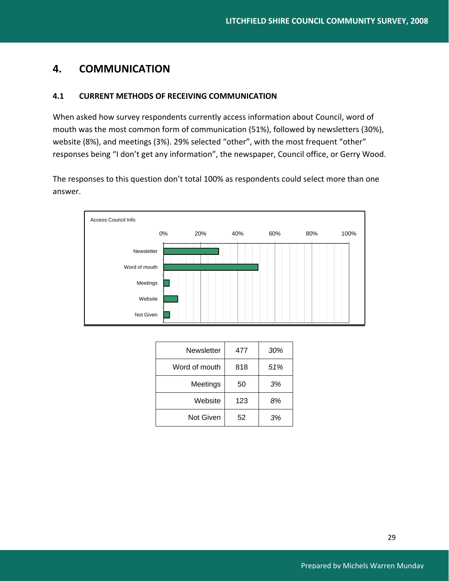# **4. COMMUNICATION**

# **4.1 CURRENT METHODS OF RECEIVING COMMUNICATION**

When asked how survey respondents currently access information about Council, word of mouth was the most common form of communication (51%), followed by newsletters (30%), website (8%), and meetings (3%). 29% selected "other", with the most frequent "other" responses being "I don't get any information", the newspaper, Council office, or Gerry Wood.

The responses to this question don't total 100% as respondents could select more than one answer.



| Newsletter    | 477 | 30% |
|---------------|-----|-----|
| Word of mouth | 818 | 51% |
| Meetings      | 50  | 3%  |
| Website       | 123 | 8%  |
| Not Given     | 52  | 3%  |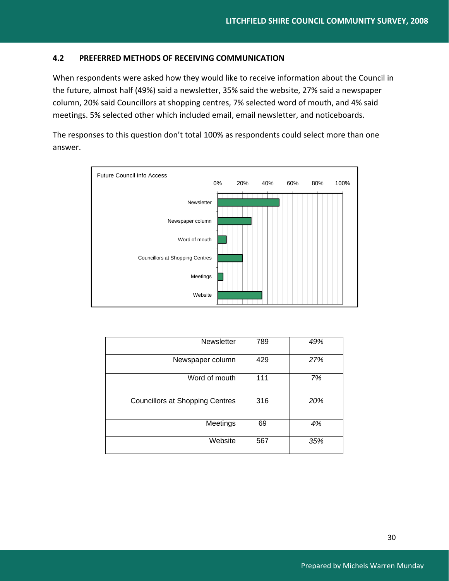# **4.2 PREFERRED METHODS OF RECEIVING COMMUNICATION**

When respondents were asked how they would like to receive information about the Council in the future, almost half (49%) said a newsletter, 35% said the website, 27% said a newspaper column, 20% said Councillors at shopping centres, 7% selected word of mouth, and 4% said meetings. 5% selected other which included email, email newsletter, and noticeboards.

The responses to this question don't total 100% as respondents could select more than one answer.



| Newsletter                             | 789 | 49% |
|----------------------------------------|-----|-----|
| Newspaper column                       | 429 | 27% |
| Word of mouth                          | 111 | 7%  |
| <b>Councillors at Shopping Centres</b> | 316 | 20% |
| Meetings                               | 69  | 4%  |
| Website                                | 567 | 35% |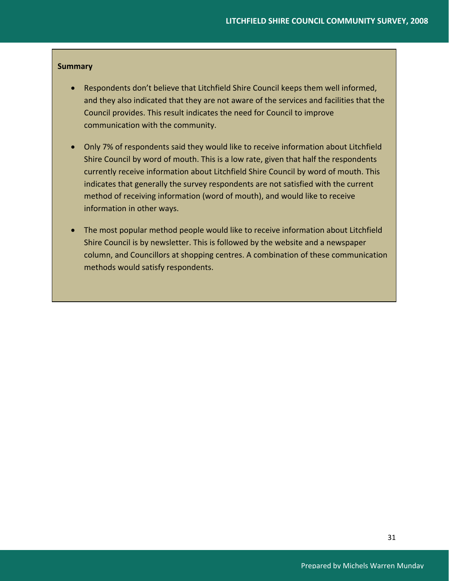## **Summary**

- Respondents don't believe that Litchfield Shire Council keeps them well informed, and they also indicated that they are not aware of the services and facilities that the Council provides. This result indicates the need for Council to improve communication with the community.
- Only 7% of respondents said they would like to receive information about Litchfield Shire Council by word of mouth. This is a low rate, given that half the respondents currently receive information about Litchfield Shire Council by word of mouth. This indicates that generally the survey respondents are not satisfied with the current method of receiving information (word of mouth), and would like to receive information in other ways.
- The most popular method people would like to receive information about Litchfield Shire Council is by newsletter. This is followed by the website and a newspaper column, and Councillors at shopping centres. A combination of these communication methods would satisfy respondents.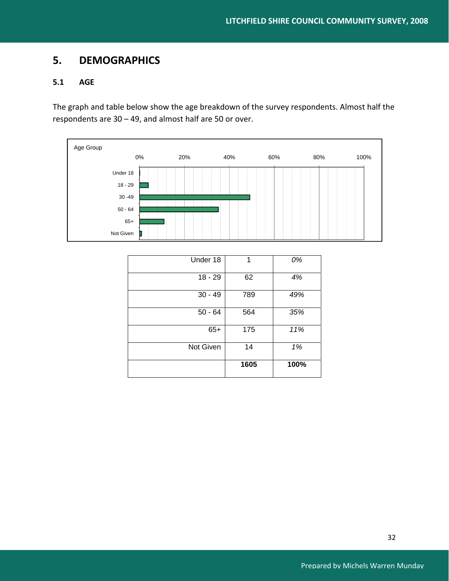# **5. DEMOGRAPHICS**

# **5.1 AGE**

The graph and table below show the age breakdown of the survey respondents. Almost half the respondents are 30 – 49, and almost half are 50 or over.



|           | 1605 | 100% |
|-----------|------|------|
| Not Given | 14   | 1%   |
| $65+$     | 175  | 11%  |
| $50 - 64$ | 564  | 35%  |
| $30 - 49$ | 789  | 49%  |
| $18 - 29$ | 62   | 4%   |
| Under 18  | 1    | 0%   |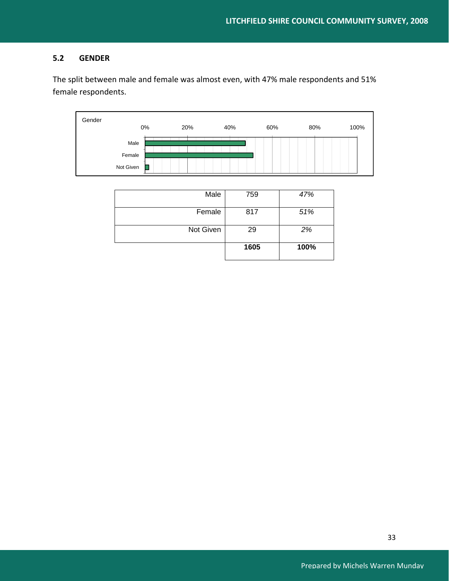# **5.2 GENDER**

The split between male and female was almost even, with 47% male respondents and 51% female respondents.



| Male      | 759  | 47%  |
|-----------|------|------|
| Female    | 817  | 51%  |
| Not Given | 29   | 2%   |
|           | 1605 | 100% |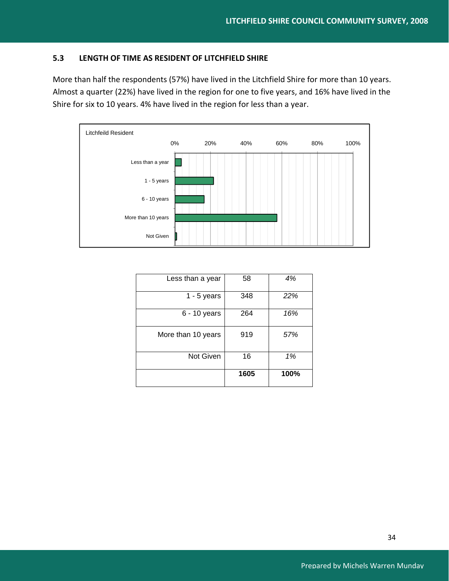# **5.3 LENGTH OF TIME AS RESIDENT OF LITCHFIELD SHIRE**

More than half the respondents (57%) have lived in the Litchfield Shire for more than 10 years. Almost a quarter (22%) have lived in the region for one to five years, and 16% have lived in the Shire for six to 10 years. 4% have lived in the region for less than a year.



| Less than a year   | 58   | 4%   |
|--------------------|------|------|
| $1 - 5$ years      | 348  | 22%  |
| $6 - 10$ years     | 264  | 16%  |
| More than 10 years | 919  | 57%  |
| <b>Not Given</b>   | 16   | 1%   |
|                    | 1605 | 100% |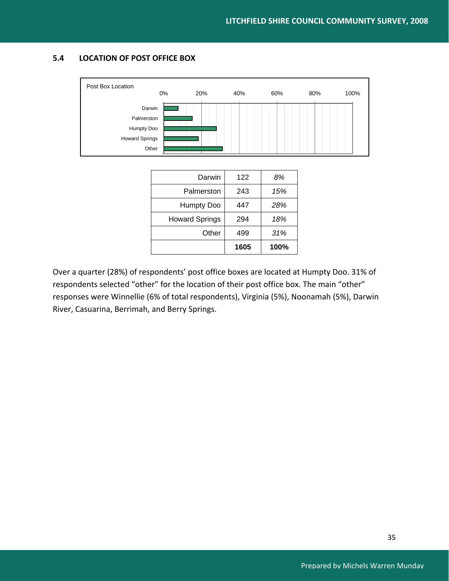# **5.4 LOCATION OF POST OFFICE BOX**



Other 499 *31%* 

**1605 100%** 

Over a quarter (28%) of respondents' post office boxes are located at Humpty Doo. 31% of respondents selected "other" for the location of their post office box. The main "other" responses were Winnellie (6% of total respondents), Virginia (5%), Noonamah (5%), Darwin River, Casuarina, Berrimah, and Berry Springs.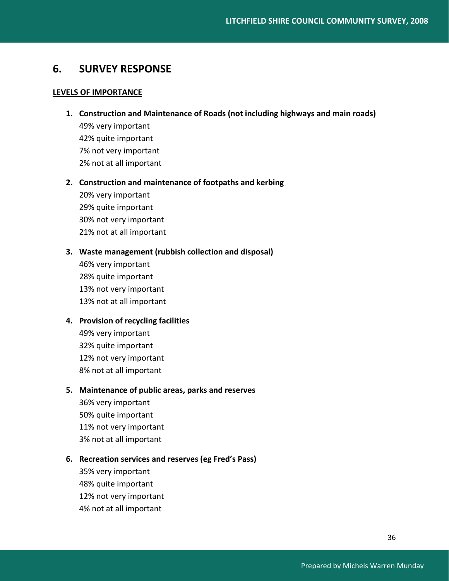# **6. SURVEY RESPONSE**

# **LEVELS OF IMPORTANCE**

- **1. Construction and Maintenance of Roads (not including highways and main roads)** 49% very important 42% quite important
	- 7% not very important 2% not at all important

# **2. Construction and maintenance of footpaths and kerbing**

20% very important 29% quite important 30% not very important 21% not at all important

# **3. Waste management (rubbish collection and disposal)**

46% very important 28% quite important 13% not very important 13% not at all important

# **4. Provision of recycling facilities**

49% very important 32% quite important 12% not very important 8% not at all important

# **5. Maintenance of public areas, parks and reserves**

36% very important 50% quite important 11% not very important 3% not at all important

# **6. Recreation services and reserves (eg Fred's Pass)**

35% very important 48% quite important 12% not very important 4% not at all important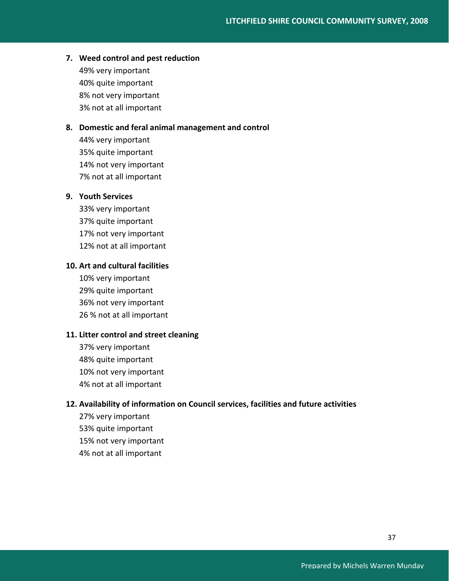# **7. Weed control and pest reduction**

49% very important 40% quite important 8% not very important 3% not at all important

## **8. Domestic and feral animal management and control**

44% very important 35% quite important 14% not very important 7% not at all important

# **9. Youth Services**

33% very important 37% quite important 17% not very important 12% not at all important

# **10. Art and cultural facilities**

10% very important 29% quite important 36% not very important 26 % not at all important

# **11. Litter control and street cleaning**

37% very important 48% quite important 10% not very important 4% not at all important

# **12. Availability of information on Council services, facilities and future activities**

27% very important 53% quite important 15% not very important 4% not at all important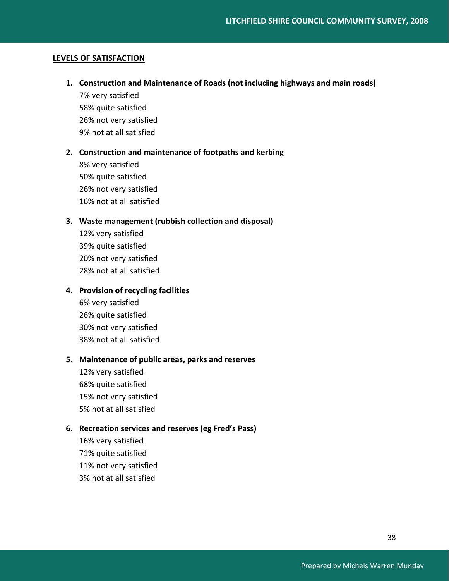# **LEVELS OF SATISFACTION**

**1. Construction and Maintenance of Roads (not including highways and main roads)** 7% very satisfied

58% quite satisfied 26% not very satisfied 9% not at all satisfied

### **2. Construction and maintenance of footpaths and kerbing**

8% very satisfied 50% quite satisfied 26% not very satisfied 16% not at all satisfied

# **3. Waste management (rubbish collection and disposal)**

12% very satisfied 39% quite satisfied 20% not very satisfied 28% not at all satisfied

# **4. Provision of recycling facilities**

6% very satisfied 26% quite satisfied 30% not very satisfied 38% not at all satisfied

# **5. Maintenance of public areas, parks and reserves**

12% very satisfied 68% quite satisfied 15% not very satisfied 5% not at all satisfied

# **6. Recreation services and reserves (eg Fred's Pass)**

16% very satisfied 71% quite satisfied 11% not very satisfied 3% not at all satisfied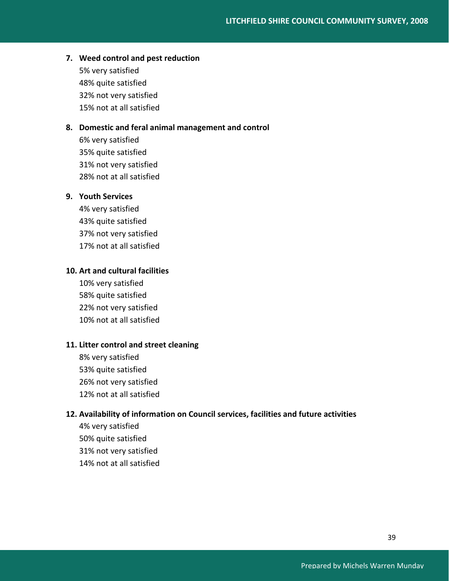# **7. Weed control and pest reduction**

5% very satisfied 48% quite satisfied 32% not very satisfied 15% not at all satisfied

# **8. Domestic and feral animal management and control**

6% very satisfied 35% quite satisfied 31% not very satisfied 28% not at all satisfied

# **9. Youth Services**

4% very satisfied 43% quite satisfied 37% not very satisfied 17% not at all satisfied

# **10. Art and cultural facilities**

10% very satisfied 58% quite satisfied 22% not very satisfied 10% not at all satisfied

# **11. Litter control and street cleaning**

8% very satisfied 53% quite satisfied 26% not very satisfied 12% not at all satisfied

# **12. Availability of information on Council services, facilities and future activities**

4% very satisfied 50% quite satisfied 31% not very satisfied 14% not at all satisfied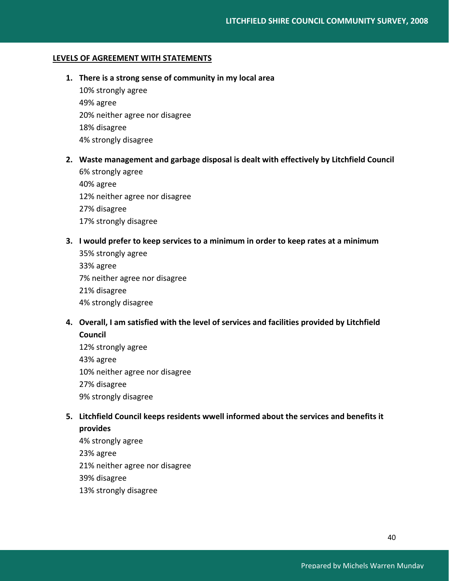# **LEVELS OF AGREEMENT WITH STATEMENTS**

# **1. There is a strong sense of community in my local area**

10% strongly agree 49% agree 20% neither agree nor disagree 18% disagree 4% strongly disagree

# **2. Waste management and garbage disposal is dealt with effectively by Litchfield Council**

6% strongly agree 40% agree 12% neither agree nor disagree 27% disagree 17% strongly disagree

## **3. I would prefer to keep services to a minimum in order to keep rates at a minimum**

35% strongly agree 33% agree 7% neither agree nor disagree 21% disagree 4% strongly disagree

# **4. Overall, I am satisfied with the level of services and facilities provided by Litchfield Council**

12% strongly agree 43% agree 10% neither agree nor disagree 27% disagree 9% strongly disagree

# **5. Litchfield Council keeps residents wwell informed about the services and benefits it provides**

4% strongly agree 23% agree 21% neither agree nor disagree 39% disagree 13% strongly disagree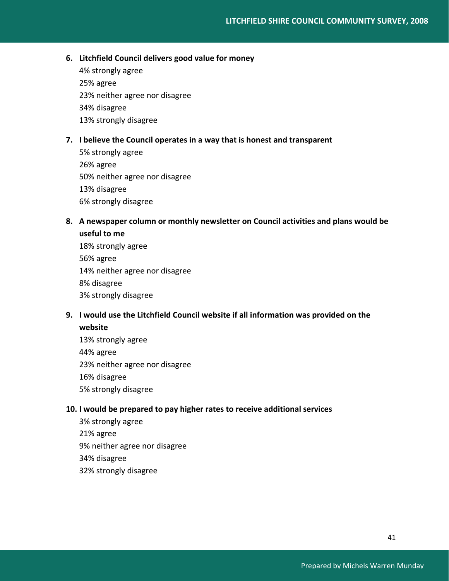# **6. Litchfield Council delivers good value for money**

4% strongly agree 25% agree 23% neither agree nor disagree 34% disagree 13% strongly disagree

# **7. I believe the Council operates in a way that is honest and transparent**

5% strongly agree 26% agree 50% neither agree nor disagree 13% disagree 6% strongly disagree

# **8. A newspaper column or monthly newsletter on Council activities and plans would be useful to me**

18% strongly agree 56% agree 14% neither agree nor disagree 8% disagree 3% strongly disagree

# **9. I would use the Litchfield Council website if all information was provided on the website**

13% strongly agree 44% agree 23% neither agree nor disagree 16% disagree 5% strongly disagree

# **10. I would be prepared to pay higher rates to receive additional services**

3% strongly agree 21% agree 9% neither agree nor disagree 34% disagree 32% strongly disagree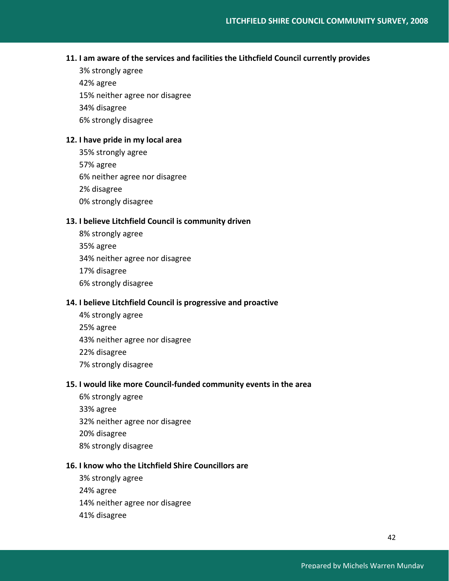# **11. I am aware of the services and facilities the Lithcfield Council currently provides**

3% strongly agree 42% agree 15% neither agree nor disagree 34% disagree 6% strongly disagree

# **12. I have pride in my local area**

35% strongly agree 57% agree 6% neither agree nor disagree 2% disagree 0% strongly disagree

# **13. I believe Litchfield Council is community driven**

8% strongly agree 35% agree 34% neither agree nor disagree 17% disagree 6% strongly disagree

# **14. I believe Litchfield Council is progressive and proactive**

4% strongly agree 25% agree 43% neither agree nor disagree 22% disagree 7% strongly disagree

# **15. I would like more Council‐funded community events in the area**

6% strongly agree 33% agree 32% neither agree nor disagree 20% disagree 8% strongly disagree

# **16. I know who the Litchfield Shire Councillors are**

3% strongly agree 24% agree 14% neither agree nor disagree 41% disagree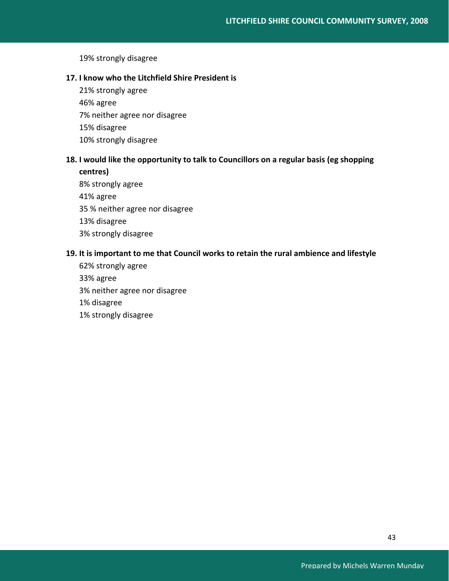19% strongly disagree

# **17. I know who the Litchfield Shire President is**

21% strongly agree 46% agree 7% neither agree nor disagree 15% disagree 10% strongly disagree

# **18. I would like the opportunity to talk to Councillors on a regular basis (eg shopping centres)**

8% strongly agree 41% agree 35 % neither agree nor disagree 13% disagree 3% strongly disagree

# **19. It is important to me that Council works to retain the rural ambience and lifestyle**

62% strongly agree 33% agree 3% neither agree nor disagree 1% disagree 1% strongly disagree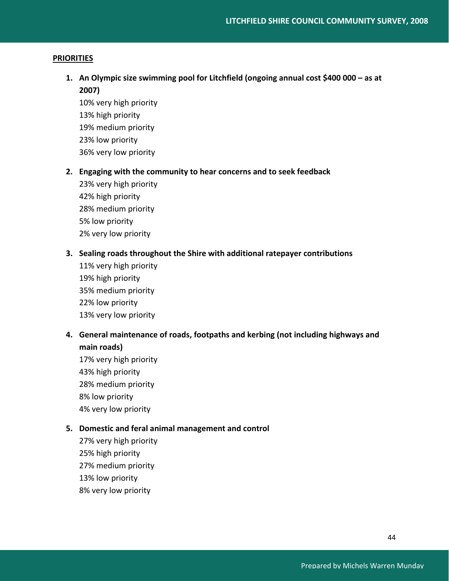## **PRIORITIES**

**1. An Olympic size swimming pool for Litchfield (ongoing annual cost \$400 000 – as at 2007)**

10% very high priority 13% high priority 19% medium priority 23% low priority 36% very low priority

- **2. Engaging with the community to hear concerns and to seek feedback**
	- 23% very high priority 42% high priority 28% medium priority 5% low priority 2% very low priority

# **3. Sealing roads throughout the Shire with additional ratepayer contributions**

11% very high priority 19% high priority 35% medium priority 22% low priority 13% very low priority

# **4. General maintenance of roads, footpaths and kerbing (not including highways and main roads)**

17% very high priority 43% high priority 28% medium priority 8% low priority 4% very low priority

# **5. Domestic and feral animal management and control**

27% very high priority 25% high priority 27% medium priority 13% low priority 8% very low priority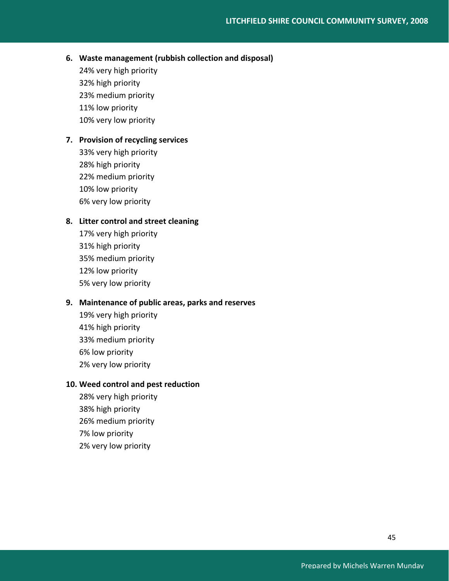# **6. Waste management (rubbish collection and disposal)**

24% very high priority 32% high priority 23% medium priority 11% low priority 10% very low priority

# **7. Provision of recycling services**

33% very high priority 28% high priority 22% medium priority 10% low priority 6% very low priority

# **8. Litter control and street cleaning**

17% very high priority 31% high priority 35% medium priority 12% low priority 5% very low priority

# **9. Maintenance of public areas, parks and reserves**

19% very high priority 41% high priority 33% medium priority 6% low priority 2% very low priority

# **10. Weed control and pest reduction**

28% very high priority 38% high priority 26% medium priority 7% low priority 2% very low priority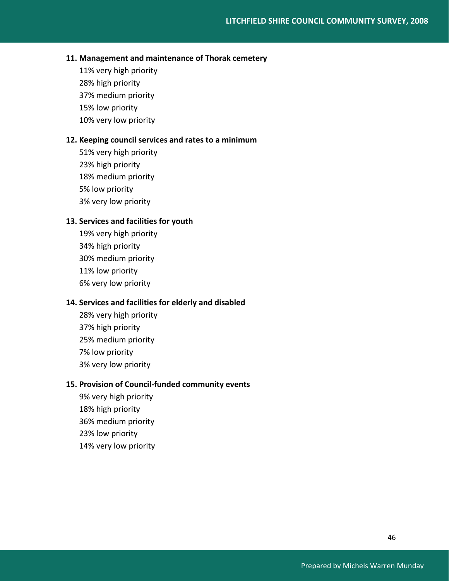# **11. Management and maintenance of Thorak cemetery**

11% very high priority 28% high priority 37% medium priority 15% low priority 10% very low priority

# **12. Keeping council services and rates to a minimum**

51% very high priority 23% high priority 18% medium priority 5% low priority 3% very low priority

# **13. Services and facilities for youth**

19% very high priority 34% high priority 30% medium priority 11% low priority 6% very low priority

# **14. Services and facilities for elderly and disabled**

28% very high priority 37% high priority 25% medium priority 7% low priority 3% very low priority

# **15. Provision of Council‐funded community events**

9% very high priority 18% high priority 36% medium priority 23% low priority 14% very low priority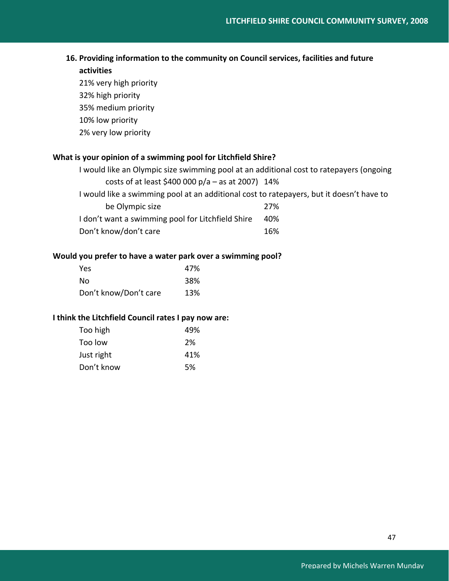# **16. Providing information to the community on Council services, facilities and future**

# **activities**

21% very high priority 32% high priority 35% medium priority 10% low priority 2% very low priority

# **What is your opinion of a swimming pool for Litchfield Shire?**

| I would like an Olympic size swimming pool at an additional cost to ratepayers (ongoing |     |  |
|-----------------------------------------------------------------------------------------|-----|--|
| costs of at least \$400 000 $p/a - as$ at 2007) 14%                                     |     |  |
| would like a swimming pool at an additional cost to ratepayers, but it doesn't have to  |     |  |
| be Olympic size                                                                         | 27% |  |
| I don't want a swimming pool for Litchfield Shire                                       | 40% |  |
| Don't know/don't care                                                                   | 16% |  |

# **Would you prefer to have a water park over a swimming pool?**

| Yes                   | 47% |
|-----------------------|-----|
| No                    | 38% |
| Don't know/Don't care | 13% |

# **I think the Litchfield Council rates I pay now are:**

| Too high   | 49% |
|------------|-----|
| Too low    | 2%  |
| Just right | 41% |
| Don't know | .5% |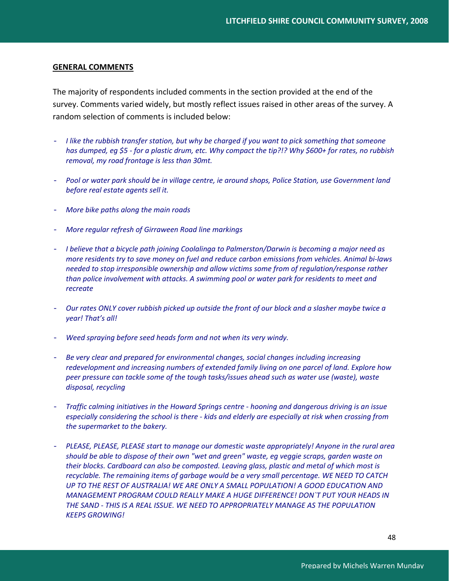# **GENERAL COMMENTS**

The majority of respondents included comments in the section provided at the end of the survey. Comments varied widely, but mostly reflect issues raised in other areas of the survey. A random selection of comments is included below:

- I like the rubbish transfer station, but why be charged if you want to pick something that someone has dumped, eq \$5 - for a plastic drum, etc. Why compact the tip?!? Why \$600+ for rates, no rubbish *removal, my road frontage is less than 30mt.*
- *Pool or water park should be in village centre, ie around shops, Police Station, use Government land before real estate agents sell it.*
- *More bike paths along the main roads*
- *More regular refresh of Girraween Road line markings*
- *I believe that a bicycle path joining Coolalinga to Palmerston/Darwin is becoming a major need as more residents try to save money on fuel and reduce carbon emissions from vehicles. Animal bi‐laws needed to stop irresponsible ownership and allow victims some from of regulation/response rather than police involvement with attacks. A swimming pool or water park for residents to meet and recreate*
- Our rates ONLY cover rubbish picked up outside the front of our block and a slasher maybe twice a *year! That's all!*
- *Weed spraying before seed heads form and not when its very windy.*
- *Be very clear and prepared for environmental changes, social changes including increasing redevelopment and increasing numbers of extended family living on one parcel of land. Explore how peer pressure can tackle some of the tough tasks/issues ahead such as water use (waste), waste disposal, recycling*
- *Traffic calming initiatives in the Howard Springs centre ‐ hooning and dangerous driving is an issue especially considering the school is there ‐ kids and elderly are especially at risk when crossing from the supermarket to the bakery.*
- *PLEASE, PLEASE, PLEASE start to manage our domestic waste appropriately! Anyone in the rural area should be able to dispose of their own "wet and green" waste, eg veggie scraps, garden waste on their blocks. Cardboard can also be composted. Leaving glass, plastic and metal of which most is recyclable. The remaining items of garbage would be a very small percentage. WE NEED TO CATCH UP TO THE REST OF AUSTRALIA! WE ARE ONLY A SMALL POPULATION! A GOOD EDUCATION AND MANAGEMENT PROGRAM COULD REALLY MAKE A HUGE DIFFERENCE! DON`T PUT YOUR HEADS IN THE SAND ‐ THIS IS A REAL ISSUE. WE NEED TO APPROPRIATELY MANAGE AS THE POPULATION KEEPS GROWING!*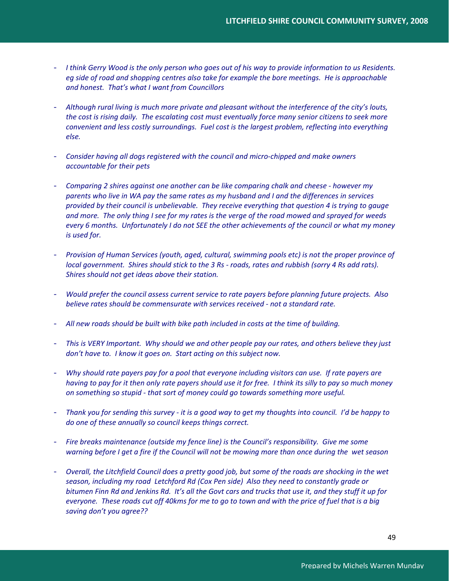- I think Gerry Wood is the only person who goes out of his way to provide information to us Residents. *eg side of road and shopping centres also take for example the bore meetings. He is approachable and honest. That's what I want from Councillors*
- *Although rural living is much more private and pleasant without the interference of the city's louts,* the cost is rising daily. The escalating cost must eventually force many senior citizens to seek more *convenient and less costly surroundings. Fuel cost is the largest problem, reflecting into everything else.*
- *Consider having all dogs registered with the council and micro‐chipped and make owners accountable for their pets*
- *Comparing 2 shires against one another can be like comparing chalk and cheese ‐ however my* parents who live in WA pay the same rates as my husband and I and the differences in services *provided by their council is unbelievable. They receive everything that question 4 is trying to gauge* and more. The only thing I see for my rates is the verge of the road mowed and sprayed for weeds every 6 months. Unfortunately I do not SEE the other achievements of the council or what my money *is used for.*
- *Provision of Human Services (youth, aged, cultural, swimming pools etc) is not the proper province of* local government. Shires should stick to the 3 Rs - roads, rates and rubbish (sorry 4 Rs add rats). *Shires should not get ideas above their station.*
- *Would prefer the council assess current service to rate payers before planning future projects. Also believe rates should be commensurate with services received ‐ not a standard rate.*
- *All new roads should be built with bike path included in costs at the time of building.*
- This is VERY Important. Why should we and other people pay our rates, and others believe they just *don't have to. I know it goes on. Start acting on this subject now.*
- Why should rate payers pay for a pool that everyone including visitors can use. If rate payers are having to pay for it then only rate payers should use it for free. I think its silly to pay so much money *on something so stupid ‐ that sort of money could go towards something more useful.*
- Thank you for sending this survey it is a good way to get my thoughts into council. I'd be happy to *do one of these annually so council keeps things correct.*
- *Fire breaks maintenance (outside my fence line) is the Council's responsibility. Give me some* warning before I get a fire if the Council will not be mowing more than once during the wet season
- Overall, the Litchfield Council does a pretty good job, but some of the roads are shocking in the wet *season, including my road Letchford Rd (Cox Pen side) Also they need to constantly grade or* bitumen Finn Rd and Jenkins Rd. It's all the Govt cars and trucks that use it, and they stuff it up for everyone. These roads cut off 40kms for me to go to town and with the price of fuel that is a big *saving don't you agree??*